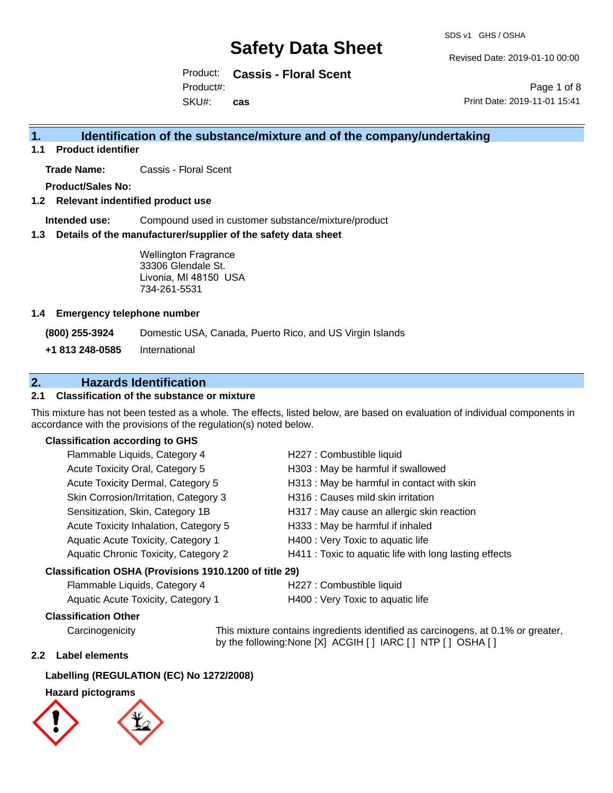SDS v1 GHS / OSHA

Revised Date: 2019-01-10 00:00

Product: **Cassis - Floral Scent** SKU#: Product#: **cas**

Page 1 of 8 Print Date: 2019-11-01 15:41

### **1. Identification of the substance/mixture and of the company/undertaking**

**1.1 Product identifier**

**Trade Name:** Cassis - Floral Scent

**Product/Sales No:**

**1.2 Relevant indentified product use**

**Intended use:** Compound used in customer substance/mixture/product

**1.3 Details of the manufacturer/supplier of the safety data sheet**

Wellington Fragrance 33306 Glendale St. Livonia, MI 48150 USA 734-261-5531

#### **1.4 Emergency telephone number**

**(800) 255-3924** Domestic USA, Canada, Puerto Rico, and US Virgin Islands

**+1 813 248-0585** International

### **2. Hazards Identification**

#### **2.1 Classification of the substance or mixture**

This mixture has not been tested as a whole. The effects, listed below, are based on evaluation of individual components in accordance with the provisions of the regulation(s) noted below.

#### **Classification according to GHS**

| Flammable Liquids, Category 4                          | H227 : Combustible liquid                              |  |
|--------------------------------------------------------|--------------------------------------------------------|--|
| Acute Toxicity Oral, Category 5                        | H303 : May be harmful if swallowed                     |  |
| Acute Toxicity Dermal, Category 5                      | H313 : May be harmful in contact with skin             |  |
| Skin Corrosion/Irritation, Category 3                  | H316 : Causes mild skin irritation                     |  |
| Sensitization, Skin, Category 1B                       | H317 : May cause an allergic skin reaction             |  |
| Acute Toxicity Inhalation, Category 5                  | H333: May be harmful if inhaled                        |  |
| Aquatic Acute Toxicity, Category 1                     | H400 : Very Toxic to aquatic life                      |  |
| Aquatic Chronic Toxicity, Category 2                   | H411 : Toxic to aquatic life with long lasting effects |  |
| Classification OSHA (Provisions 1910.1200 of title 29) |                                                        |  |

### Flammable Liquids, Category 4 H227 : Combustible liquid

| remindere Eigende, Sategory r             | <b>INSERVIS DESCRIPTIONS</b>      |
|-------------------------------------------|-----------------------------------|
| <b>Aquatic Acute Toxicity, Category 1</b> | H400 : Very Toxic to aquatic life |

#### **Classification Other**

Carcinogenicity This mixture contains ingredients identified as carcinogens, at 0.1% or greater, by the following:None [X] ACGIH [ ] IARC [ ] NTP [ ] OSHA [ ]

#### **2.2 Label elements**

#### **Labelling (REGULATION (EC) No 1272/2008)**

#### **Hazard pictograms**

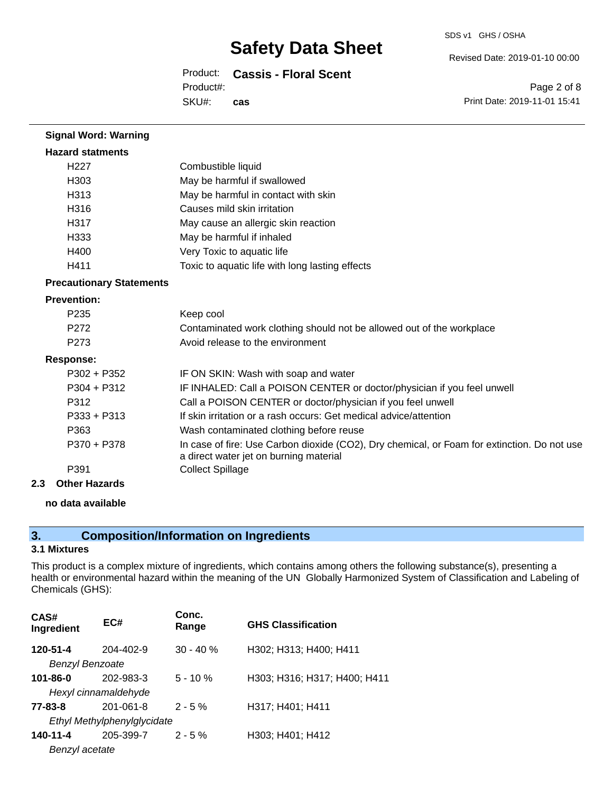Revised Date: 2019-01-10 00:00

Product: **Cassis - Floral Scent** SKU#: Product#: **cas**

Page 2 of 8 Print Date: 2019-11-01 15:41

| <b>Signal Word: Warning</b>     |                                                                                                                                       |
|---------------------------------|---------------------------------------------------------------------------------------------------------------------------------------|
| <b>Hazard statments</b>         |                                                                                                                                       |
| H <sub>227</sub>                | Combustible liquid                                                                                                                    |
| H303                            | May be harmful if swallowed                                                                                                           |
| H313                            | May be harmful in contact with skin                                                                                                   |
| H316                            | Causes mild skin irritation                                                                                                           |
| H317                            | May cause an allergic skin reaction                                                                                                   |
| H333                            | May be harmful if inhaled                                                                                                             |
| H400                            | Very Toxic to aquatic life                                                                                                            |
| H411                            | Toxic to aquatic life with long lasting effects                                                                                       |
| <b>Precautionary Statements</b> |                                                                                                                                       |
| <b>Prevention:</b>              |                                                                                                                                       |
| P <sub>235</sub>                | Keep cool                                                                                                                             |
| P272                            | Contaminated work clothing should not be allowed out of the workplace                                                                 |
| P273                            | Avoid release to the environment                                                                                                      |
| <b>Response:</b>                |                                                                                                                                       |
| $P302 + P352$                   | IF ON SKIN: Wash with soap and water                                                                                                  |
| $P304 + P312$                   | IF INHALED: Call a POISON CENTER or doctor/physician if you feel unwell                                                               |
| P312                            | Call a POISON CENTER or doctor/physician if you feel unwell                                                                           |
| $P333 + P313$                   | If skin irritation or a rash occurs: Get medical advice/attention                                                                     |
| P363                            | Wash contaminated clothing before reuse                                                                                               |
| P370 + P378                     | In case of fire: Use Carbon dioxide (CO2), Dry chemical, or Foam for extinction. Do not use<br>a direct water jet on burning material |
| P391                            | <b>Collect Spillage</b>                                                                                                               |
| Other Hazarde                   |                                                                                                                                       |

**2.3 Other Hazards**

#### **no data available**

### **3. Composition/Information on Ingredients**

#### **3.1 Mixtures**

This product is a complex mixture of ingredients, which contains among others the following substance(s), presenting a health or environmental hazard within the meaning of the UN Globally Harmonized System of Classification and Labeling of Chemicals (GHS):

| CAS#<br>Ingredient | EC#                         | Conc.<br>Range | <b>GHS Classification</b>    |
|--------------------|-----------------------------|----------------|------------------------------|
| 120-51-4           | 204-402-9                   | $30 - 40 \%$   | H302; H313; H400; H411       |
| Benzyl Benzoate    |                             |                |                              |
| 101-86-0           | 202-983-3                   | $5 - 10 \%$    | H303; H316; H317; H400; H411 |
|                    | Hexyl cinnamaldehyde        |                |                              |
| 77-83-8            | $201 - 061 - 8$             | $2 - 5%$       | H317; H401; H411             |
|                    | Ethyl Methylphenylglycidate |                |                              |
| 140-11-4           | 205-399-7                   | $2 - 5%$       | H303; H401; H412             |
| Benzyl acetate     |                             |                |                              |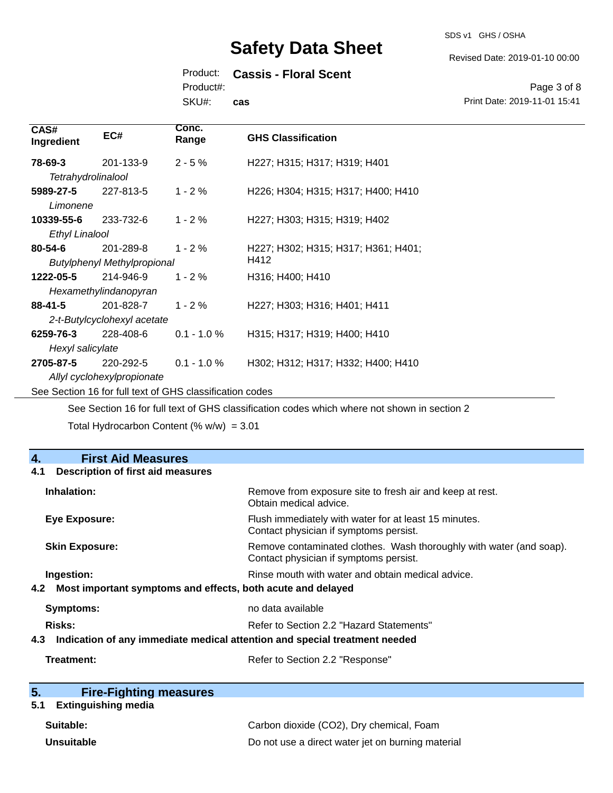SDS v1 GHS / OSHA

Revised Date: 2019-01-10 00:00

Product: **Cassis - Floral Scent**

Product#:

SKU#: **cas**

Page 3 of 8 Print Date: 2019-11-01 15:41

| CAS#<br>Ingredient    | EC#                                | Conc.<br>Range                                           | <b>GHS Classification</b>           |
|-----------------------|------------------------------------|----------------------------------------------------------|-------------------------------------|
| 78-69-3               | 201-133-9                          | $2 - 5%$                                                 | H227; H315; H317; H319; H401        |
| Tetrahydrolinalool    |                                    |                                                          |                                     |
| 5989-27-5             | 227-813-5                          | $1 - 2%$                                                 | H226; H304; H315; H317; H400; H410  |
| Limonene              |                                    |                                                          |                                     |
| 10339-55-6            | 233-732-6                          | $1 - 2%$                                                 | H227; H303; H315; H319; H402        |
| <b>Ethyl Linalool</b> |                                    |                                                          |                                     |
| $80 - 54 - 6$         | 201-289-8                          | $1 - 2 \%$                                               | H227; H302; H315; H317; H361; H401; |
|                       | <b>Butylphenyl Methylpropional</b> |                                                          | H412                                |
| 1222-05-5             | 214-946-9                          | $1 - 2%$                                                 | H316; H400; H410                    |
|                       | Hexamethylindanopyran              |                                                          |                                     |
| $88 - 41 - 5$         | 201-828-7                          | $1 - 2%$                                                 | H227; H303; H316; H401; H411        |
|                       | 2-t-Butylcyclohexyl acetate        |                                                          |                                     |
| 6259-76-3             | 228-408-6                          | $0.1 - 1.0 %$                                            | H315; H317; H319; H400; H410        |
| Hexyl salicylate      |                                    |                                                          |                                     |
| 2705-87-5             | 220-292-5                          | $0.1 - 1.0 \%$                                           | H302; H312; H317; H332; H400; H410  |
|                       | Allyl cyclohexylpropionate         |                                                          |                                     |
|                       |                                    | See Section 16 for full text of GHS classification codes |                                     |

See Section 16 for full text of GHS classification codes which where not shown in section 2

Total Hydrocarbon Content (%  $w/w$ ) = 3.01

| 4.<br><b>First Aid Measures</b>                                                   |                                                                                                               |
|-----------------------------------------------------------------------------------|---------------------------------------------------------------------------------------------------------------|
| <b>Description of first aid measures</b><br>4.1                                   |                                                                                                               |
| Inhalation:                                                                       | Remove from exposure site to fresh air and keep at rest.<br>Obtain medical advice.                            |
| Eye Exposure:                                                                     | Flush immediately with water for at least 15 minutes.<br>Contact physician if symptoms persist.               |
| <b>Skin Exposure:</b>                                                             | Remove contaminated clothes. Wash thoroughly with water (and soap).<br>Contact physician if symptoms persist. |
| Ingestion:                                                                        | Rinse mouth with water and obtain medical advice.                                                             |
| 4.2 Most important symptoms and effects, both acute and delayed                   |                                                                                                               |
| <b>Symptoms:</b>                                                                  | no data available                                                                                             |
| Risks:                                                                            | Refer to Section 2.2 "Hazard Statements"                                                                      |
| Indication of any immediate medical attention and special treatment needed<br>4.3 |                                                                                                               |
| Treatment:                                                                        | Refer to Section 2.2 "Response"                                                                               |

| 5. | <b>Fire-Fighting measures</b> |
|----|-------------------------------|
|    |                               |

## **5.1 Extinguishing media**

| Suitable:         | Carbon dioxide (CO2), Dry chemical, Foam          |
|-------------------|---------------------------------------------------|
| <b>Unsuitable</b> | Do not use a direct water jet on burning material |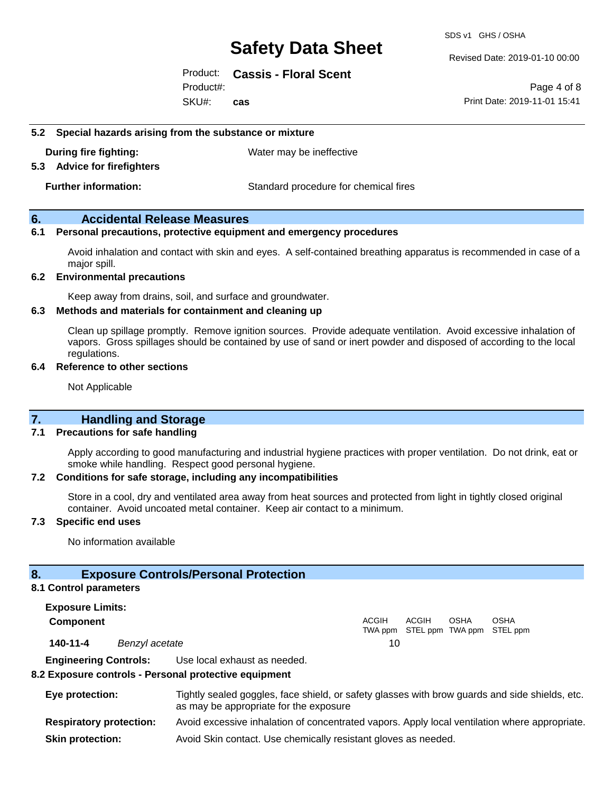SDS v1 GHS / OSHA

Revised Date: 2019-01-10 00:00

Product: **Cassis - Floral Scent** Product#:

SKU#: **cas**

Page 4 of 8 Print Date: 2019-11-01 15:41

#### **5.2 Special hazards arising from the substance or mixture**

**During fire fighting:** Water may be ineffective

#### **5.3 Advice for firefighters**

**Further information:** Standard procedure for chemical fires

#### **6. Accidental Release Measures**

#### **6.1 Personal precautions, protective equipment and emergency procedures**

Avoid inhalation and contact with skin and eyes. A self-contained breathing apparatus is recommended in case of a major spill.

#### **6.2 Environmental precautions**

Keep away from drains, soil, and surface and groundwater.

#### **6.3 Methods and materials for containment and cleaning up**

Clean up spillage promptly. Remove ignition sources. Provide adequate ventilation. Avoid excessive inhalation of vapors. Gross spillages should be contained by use of sand or inert powder and disposed of according to the local regulations.

#### **6.4 Reference to other sections**

Not Applicable

#### **7. Handling and Storage**

#### **7.1 Precautions for safe handling**

Apply according to good manufacturing and industrial hygiene practices with proper ventilation. Do not drink, eat or smoke while handling. Respect good personal hygiene.

#### **7.2 Conditions for safe storage, including any incompatibilities**

Store in a cool, dry and ventilated area away from heat sources and protected from light in tightly closed original container. Avoid uncoated metal container. Keep air contact to a minimum.

#### **7.3 Specific end uses**

No information available

#### **8. Exposure Controls/Personal Protection**

#### **8.1 Control parameters**

**Exposure Limits: Component** ACGIH TWA ppm STEL ppm TWA ppm STEL ppm ACGIH **OSHA** OSHA **140-11-4** *Benzyl acetate* 10 **Engineering Controls:** Use local exhaust as needed.

#### **8.2 Exposure controls - Personal protective equipment**

**Eye protection:** Tightly sealed goggles, face shield, or safety glasses with brow guards and side shields, etc. as may be appropriate for the exposure **Respiratory protection:** Avoid excessive inhalation of concentrated vapors. Apply local ventilation where appropriate. **Skin protection:** Avoid Skin contact. Use chemically resistant gloves as needed.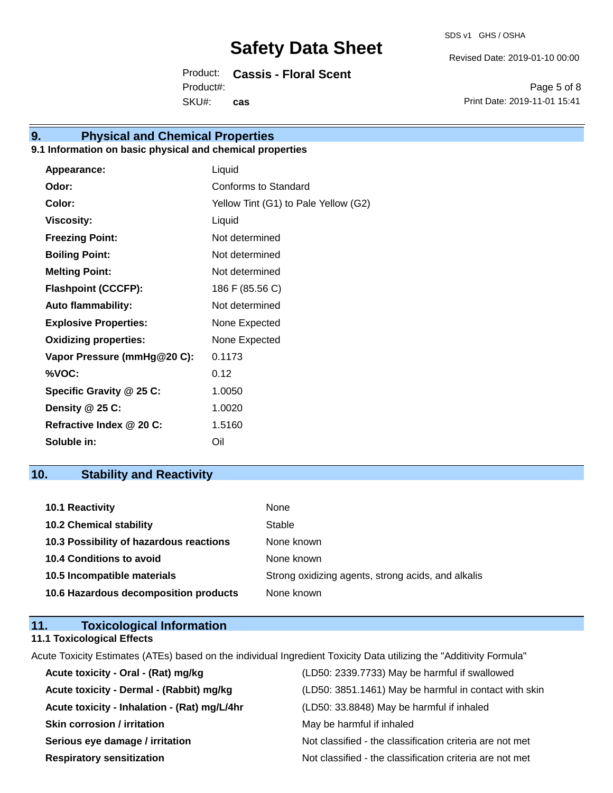Revised Date: 2019-01-10 00:00

Product: **Cassis - Floral Scent** SKU#: Product#: **cas**

Page 5 of 8 Print Date: 2019-11-01 15:41

## **9. Physical and Chemical Properties**

#### **9.1 Information on basic physical and chemical properties**

| Appearance:                  | Liquid                               |
|------------------------------|--------------------------------------|
| Odor:                        | Conforms to Standard                 |
| Color:                       | Yellow Tint (G1) to Pale Yellow (G2) |
| <b>Viscosity:</b>            | Liquid                               |
| <b>Freezing Point:</b>       | Not determined                       |
| <b>Boiling Point:</b>        | Not determined                       |
| <b>Melting Point:</b>        | Not determined                       |
| <b>Flashpoint (CCCFP):</b>   | 186 F (85.56 C)                      |
| <b>Auto flammability:</b>    | Not determined                       |
| <b>Explosive Properties:</b> | None Expected                        |
| <b>Oxidizing properties:</b> | None Expected                        |
| Vapor Pressure (mmHg@20 C):  | 0.1173                               |
| %VOC:                        | 0.12                                 |
| Specific Gravity @ 25 C:     | 1.0050                               |
| Density @ 25 C:              | 1.0020                               |
| Refractive Index @ 20 C:     | 1.5160                               |
| Soluble in:                  | Oil                                  |

### **10. Stability and Reactivity**

| 10.1 Reactivity                         | None                                               |
|-----------------------------------------|----------------------------------------------------|
| <b>10.2 Chemical stability</b>          | Stable                                             |
| 10.3 Possibility of hazardous reactions | None known                                         |
| <b>10.4 Conditions to avoid</b>         | None known                                         |
| 10.5 Incompatible materials             | Strong oxidizing agents, strong acids, and alkalis |
| 10.6 Hazardous decomposition products   | None known                                         |

| 11. | <b>Toxicological Information</b>  |  |
|-----|-----------------------------------|--|
|     | <b>11.1 Toxicological Effects</b> |  |

Acute Toxicity Estimates (ATEs) based on the individual Ingredient Toxicity Data utilizing the "Additivity Formula" **Acute toxicity - Oral - (Rat) mg/kg** (LD50: 2339.7733) May be harmful if swallowed

| Active toxicity - Oral - (Kat) Highly        | (LDJV. 2339.7733) May be Hallillul II Swallowed          |
|----------------------------------------------|----------------------------------------------------------|
| Acute toxicity - Dermal - (Rabbit) mg/kg     | (LD50: 3851.1461) May be harmful in contact with skin    |
| Acute toxicity - Inhalation - (Rat) mg/L/4hr | (LD50: 33.8848) May be harmful if inhaled                |
| <b>Skin corrosion / irritation</b>           | May be harmful if inhaled                                |
| Serious eye damage / irritation              | Not classified - the classification criteria are not met |
| <b>Respiratory sensitization</b>             | Not classified - the classification criteria are not met |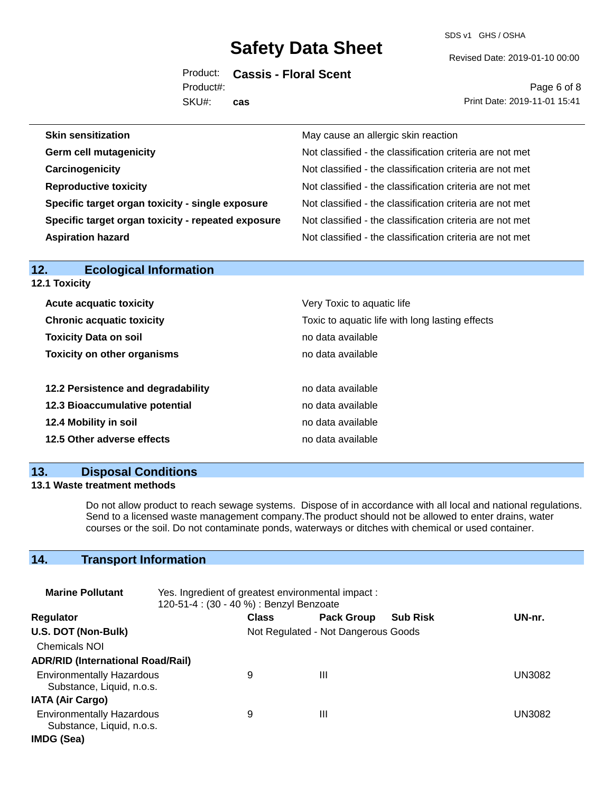SDS v1 GHS / OSHA

Revised Date: 2019-01-10 00:00

Product: **Cassis - Floral Scent** SKU#: Product#: **cas**

Page 6 of 8 Print Date: 2019-11-01 15:41

| May cause an allergic skin reaction                      |
|----------------------------------------------------------|
| Not classified - the classification criteria are not met |
| Not classified - the classification criteria are not met |
| Not classified - the classification criteria are not met |
| Not classified - the classification criteria are not met |
| Not classified - the classification criteria are not met |
| Not classified - the classification criteria are not met |
|                                                          |

| 14.<br>EUVIUUIUAI IIIIUIIIIAUUII   |                                                 |
|------------------------------------|-------------------------------------------------|
| <b>12.1 Toxicity</b>               |                                                 |
| <b>Acute acquatic toxicity</b>     | Very Toxic to aquatic life                      |
| <b>Chronic acquatic toxicity</b>   | Toxic to aquatic life with long lasting effects |
| <b>Toxicity Data on soil</b>       | no data available                               |
| <b>Toxicity on other organisms</b> | no data available                               |
|                                    |                                                 |
| 12.2 Persistence and degradability | no data available                               |
| 12.3 Bioaccumulative potential     | no data available                               |
| 12.4 Mobility in soil              | no data available                               |
| 12.5 Other adverse effects         | no data available                               |
|                                    |                                                 |

#### **13. Disposal Conditions**

**12. Ecological Information** 

#### **13.1 Waste treatment methods**

Do not allow product to reach sewage systems. Dispose of in accordance with all local and national regulations. Send to a licensed waste management company.The product should not be allowed to enter drains, water courses or the soil. Do not contaminate ponds, waterways or ditches with chemical or used container.

### **14. Transport Information**

| <b>Marine Pollutant</b>                                       | Yes. Ingredient of greatest environmental impact:<br>120-51-4 : (30 - 40 %) : Benzyl Benzoate |              |                                     |                 |        |
|---------------------------------------------------------------|-----------------------------------------------------------------------------------------------|--------------|-------------------------------------|-----------------|--------|
| <b>Regulator</b>                                              |                                                                                               | <b>Class</b> | <b>Pack Group</b>                   | <b>Sub Risk</b> | UN-nr. |
| U.S. DOT (Non-Bulk)                                           |                                                                                               |              | Not Regulated - Not Dangerous Goods |                 |        |
| <b>Chemicals NOI</b>                                          |                                                                                               |              |                                     |                 |        |
| <b>ADR/RID (International Road/Rail)</b>                      |                                                                                               |              |                                     |                 |        |
| <b>Environmentally Hazardous</b><br>Substance, Liquid, n.o.s. |                                                                                               | 9            | Ш                                   |                 | UN3082 |
| <b>IATA (Air Cargo)</b>                                       |                                                                                               |              |                                     |                 |        |
| <b>Environmentally Hazardous</b><br>Substance, Liquid, n.o.s. |                                                                                               | 9            | Ш                                   |                 | UN3082 |
| IMDG (Sea)                                                    |                                                                                               |              |                                     |                 |        |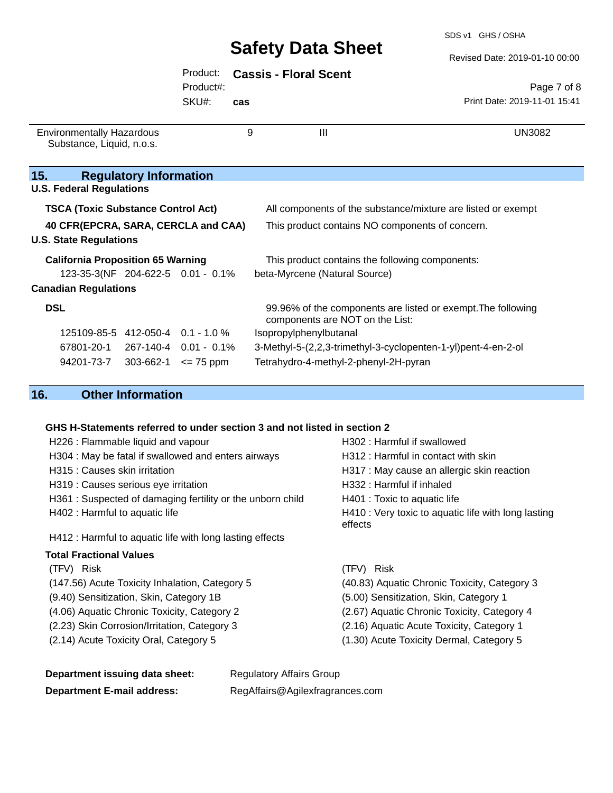SDS v1 GHS / OSHA

Revised Date: 2019-01-10 00:00

|                                                                      |                               | Product:<br>Product#: |     | <b>Cassis - Floral Scent</b>                                                                    | Page 7 of 8                  |
|----------------------------------------------------------------------|-------------------------------|-----------------------|-----|-------------------------------------------------------------------------------------------------|------------------------------|
|                                                                      |                               | SKU#:                 | cas |                                                                                                 | Print Date: 2019-11-01 15:41 |
| <b>Environmentally Hazardous</b><br>Substance, Liquid, n.o.s.        |                               |                       | 9   | III                                                                                             | <b>UN3082</b>                |
| 15.                                                                  | <b>Regulatory Information</b> |                       |     |                                                                                                 |                              |
| <b>U.S. Federal Regulations</b>                                      |                               |                       |     |                                                                                                 |                              |
| <b>TSCA (Toxic Substance Control Act)</b>                            |                               |                       |     | All components of the substance/mixture are listed or exempt                                    |                              |
| 40 CFR(EPCRA, SARA, CERCLA and CAA)<br><b>U.S. State Regulations</b> |                               |                       |     | This product contains NO components of concern.                                                 |                              |
| <b>California Proposition 65 Warning</b>                             |                               |                       |     | This product contains the following components:                                                 |                              |
| 123-35-3(NF 204-622-5 0.01 - 0.1%                                    |                               |                       |     | beta-Myrcene (Natural Source)                                                                   |                              |
| <b>Canadian Regulations</b>                                          |                               |                       |     |                                                                                                 |                              |
| <b>DSL</b>                                                           |                               |                       |     | 99.96% of the components are listed or exempt. The following<br>components are NOT on the List: |                              |
| 125109-85-5 412-050-4 0.1 - 1.0 %                                    |                               |                       |     | Isopropylphenylbutanal                                                                          |                              |
| 67801-20-1 267-140-4 0.01 - 0.1%                                     |                               |                       |     | 3-Methyl-5-(2,2,3-trimethyl-3-cyclopenten-1-yl)pent-4-en-2-ol                                   |                              |
| 94201-73-7                                                           | 303-662-1                     | $\leq$ 75 ppm         |     | Tetrahydro-4-methyl-2-phenyl-2H-pyran                                                           |                              |

### **16. Other Information**

## **GHS H-Statements referred to under section 3 and not listed in section 2**<br>H328 i Flemmeble liquid and veneur

| H226 : Flammable liquid and vapour                        | H302 : Harmful if swallowed                                    |
|-----------------------------------------------------------|----------------------------------------------------------------|
| H304 : May be fatal if swallowed and enters airways       | H312 : Harmful in contact with skin                            |
| H315 : Causes skin irritation                             | H317 : May cause an allergic skin reaction                     |
| H319 : Causes serious eye irritation                      | H332 : Harmful if inhaled                                      |
| H361: Suspected of damaging fertility or the unborn child | H401 : Toxic to aquatic life                                   |
| H402 : Harmful to aquatic life                            | H410 : Very toxic to aquatic life with long lasting<br>effects |
| H412 : Harmful to aquatic life with long lasting effects  |                                                                |
| <b>Total Fractional Values</b>                            |                                                                |
| (TFV) Risk                                                | (TFV) Risk                                                     |
| (147.56) Acute Toxicity Inhalation, Category 5            | (40.83) Aquatic Chronic Toxicity, Category 3                   |
| (9.40) Sensitization, Skin, Category 1B                   | (5.00) Sensitization, Skin, Category 1                         |
| (4.06) Aquatic Chronic Toxicity, Category 2               | (2.67) Aquatic Chronic Toxicity, Category 4                    |
| (2.23) Skin Corrosion/Irritation, Category 3              | (2.16) Aquatic Acute Toxicity, Category 1                      |
| (2.14) Acute Toxicity Oral, Category 5                    | (1.30) Acute Toxicity Dermal, Category 5                       |

| Department issuing data sheet:    | <b>Regulatory Affairs Group</b> |
|-----------------------------------|---------------------------------|
| <b>Department E-mail address:</b> | RegAffairs@Agilexfragrances.com |